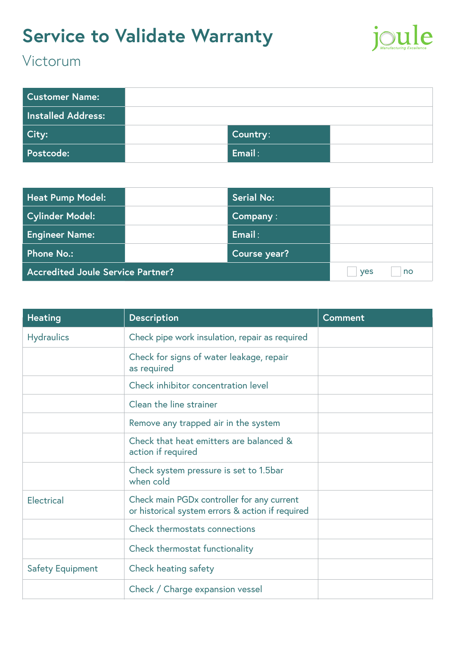# **Service to Validate Warranty**



### Victorum

| <b>Customer Name:</b>     |          |  |
|---------------------------|----------|--|
| <b>Installed Address:</b> |          |  |
| City:                     | Country: |  |
| <b>Postcode:</b>          | Email:   |  |

| <b>Heat Pump Model:</b>                  | <b>Serial No:</b> |                  |
|------------------------------------------|-------------------|------------------|
| <b>Cylinder Model:</b>                   | Company:          |                  |
| <b>Engineer Name:</b>                    | Email:            |                  |
| Phone No.:                               | Course year?      |                  |
| <b>Accredited Joule Service Partner?</b> |                   | no<br><b>ves</b> |

| <b>Heating</b>          | <b>Description</b>                                                                             | <b>Comment</b> |
|-------------------------|------------------------------------------------------------------------------------------------|----------------|
| <b>Hydraulics</b>       | Check pipe work insulation, repair as required                                                 |                |
|                         | Check for signs of water leakage, repair<br>as required                                        |                |
|                         | Check inhibitor concentration level                                                            |                |
|                         | Clean the line strainer                                                                        |                |
|                         | Remove any trapped air in the system                                                           |                |
|                         | Check that heat emitters are balanced &<br>action if required                                  |                |
|                         | Check system pressure is set to 1.5bar<br>when cold                                            |                |
| <b>Electrical</b>       | Check main PGDx controller for any current<br>or historical system errors & action if required |                |
|                         | Check thermostats connections                                                                  |                |
|                         | Check thermostat functionality                                                                 |                |
| <b>Safety Equipment</b> | Check heating safety                                                                           |                |
|                         | Check / Charge expansion vessel                                                                |                |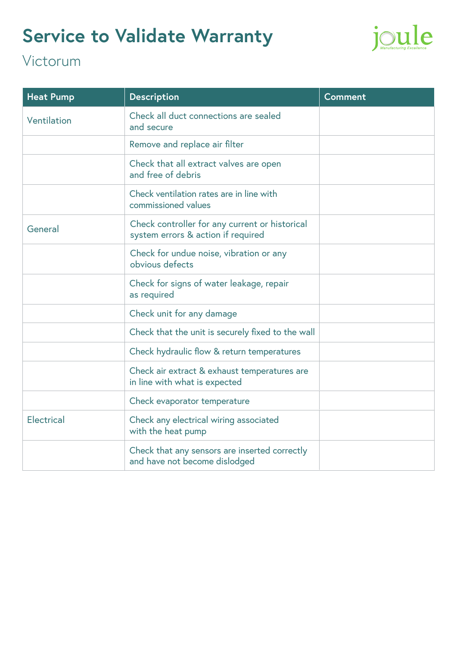# **Service to Validate Warranty**



### Victorum

| <b>Heat Pump</b>  | <b>Description</b>                                                                   | <b>Comment</b> |
|-------------------|--------------------------------------------------------------------------------------|----------------|
| Ventilation       | Check all duct connections are sealed<br>and secure                                  |                |
|                   | Remove and replace air filter                                                        |                |
|                   | Check that all extract valves are open<br>and free of debris                         |                |
|                   | Check ventilation rates are in line with<br>commissioned values                      |                |
| General           | Check controller for any current or historical<br>system errors & action if required |                |
|                   | Check for undue noise, vibration or any<br>obvious defects                           |                |
|                   | Check for signs of water leakage, repair<br>as required                              |                |
|                   | Check unit for any damage                                                            |                |
|                   | Check that the unit is securely fixed to the wall                                    |                |
|                   | Check hydraulic flow & return temperatures                                           |                |
|                   | Check air extract & exhaust temperatures are<br>in line with what is expected        |                |
|                   | Check evaporator temperature                                                         |                |
| <b>Electrical</b> | Check any electrical wiring associated<br>with the heat pump                         |                |
|                   | Check that any sensors are inserted correctly<br>and have not become dislodged       |                |